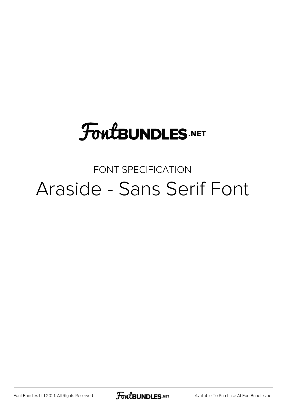# **FoutBUNDLES.NET**

## FONT SPECIFICATION Araside - Sans Serif Font

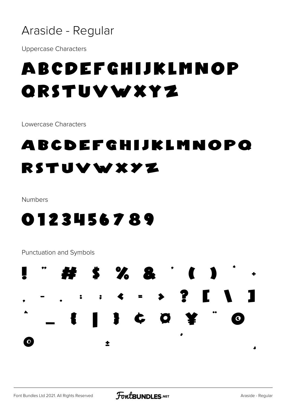## Araside - Regular

Uppercase Characters

## ABCDEFGHIJKLMNOP QRSTUVWXYZ

Lowercase Characters

## abcdefghijklmnopq rstuvwxyz

Numbers

## 0123456789

Punctuation and Symbols

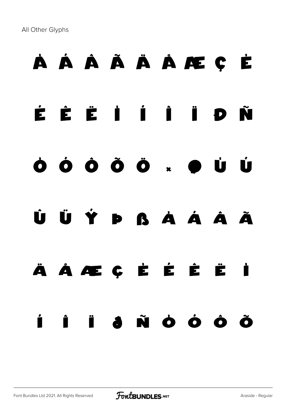All Other Glyphs

# À Á Â Ã Ä Å Æ Ç È É Ê Ë Ì Í Î Ï Ð Ñ Ò Ó Ô Õ Ö × Ø Ù Ú Û Ü Ý Þ ß à á â ã ä å æ ç è é ê ë ì í î ï ð ñ ò ó ô õ